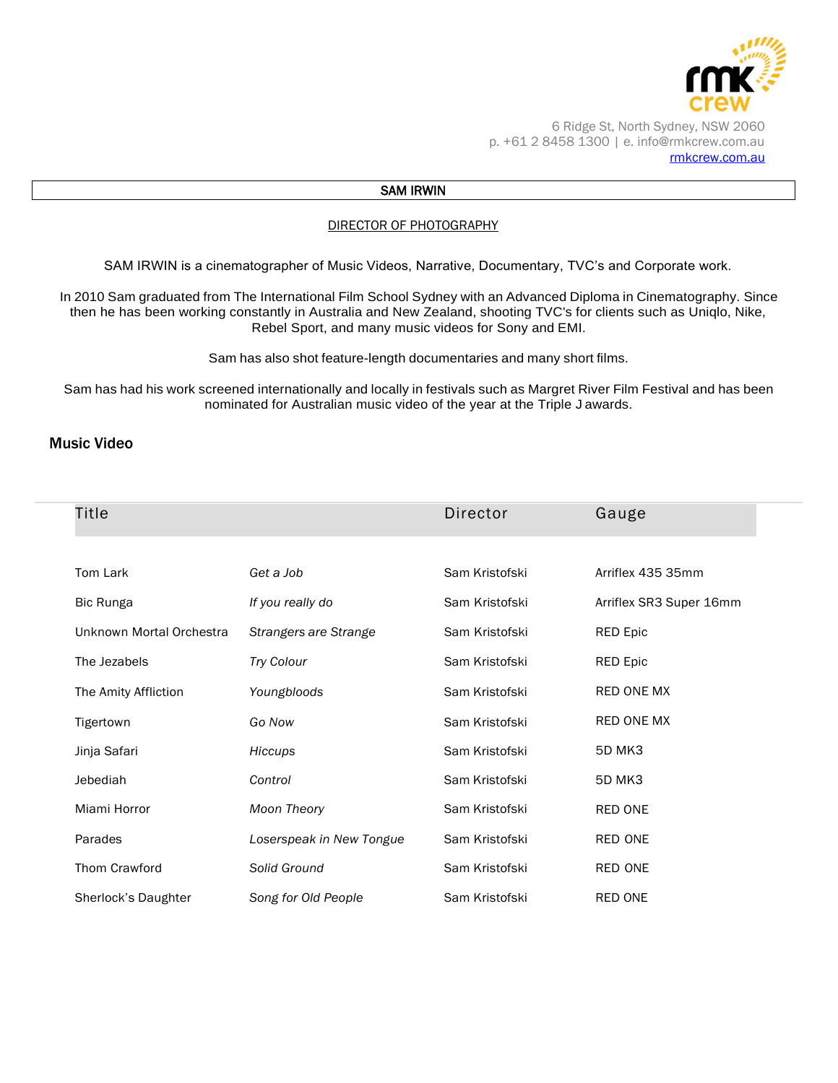

6 Ridge St, North Sydney, NSW 2060 p. +61 2 8458 1300 | e. info@rmkcrew.com.au [rmkcrew.com.au](http://www.rmkcrew.com.au/)

### SAM IRWIN

#### DIRECTOR OF PHOTOGRAPHY

SAM IRWIN is a cinematographer of Music Videos, Narrative, Documentary, TVC's and Corporate work.

In 2010 Sam graduated from The International Film School Sydney with an Advanced Diploma in Cinematography. Since then he has been working constantly in Australia and New Zealand, shooting TVC's for clients such as Uniqlo, Nike, Rebel Sport, and many music videos for Sony and EMI.

Sam has also shot feature-length documentaries and many short films.

Sam has had his work screened internationally and locally in festivals such as Margret River Film Festival and has been nominated for Australian music video of the year at the Triple J awards.

### Music Video

| Title                    |                          | Director       | Gauge                   |
|--------------------------|--------------------------|----------------|-------------------------|
|                          |                          |                |                         |
| Tom Lark                 | Get a Job                | Sam Kristofski | Arriflex 435 35mm       |
| <b>Bic Runga</b>         | If you really do         | Sam Kristofski | Arriflex SR3 Super 16mm |
| Unknown Mortal Orchestra | Strangers are Strange    | Sam Kristofski | <b>RED Epic</b>         |
| The Jezabels             | <b>Try Colour</b>        | Sam Kristofski | <b>RED Epic</b>         |
| The Amity Affliction     | Youngbloods              | Sam Kristofski | RED ONE MX              |
| Tigertown                | Go Now                   | Sam Kristofski | <b>RED ONE MX</b>       |
| Jinja Safari             | Hiccups                  | Sam Kristofski | <b>5D MK3</b>           |
| Jebediah                 | Control                  | Sam Kristofski | <b>5D MK3</b>           |
| Miami Horror             | <b>Moon Theory</b>       | Sam Kristofski | RED ONE                 |
| Parades                  | Loserspeak in New Tongue | Sam Kristofski | <b>RED ONE</b>          |
| Thom Crawford            | Solid Ground             | Sam Kristofski | RED ONE                 |
| Sherlock's Daughter      | Song for Old People      | Sam Kristofski | RED ONE                 |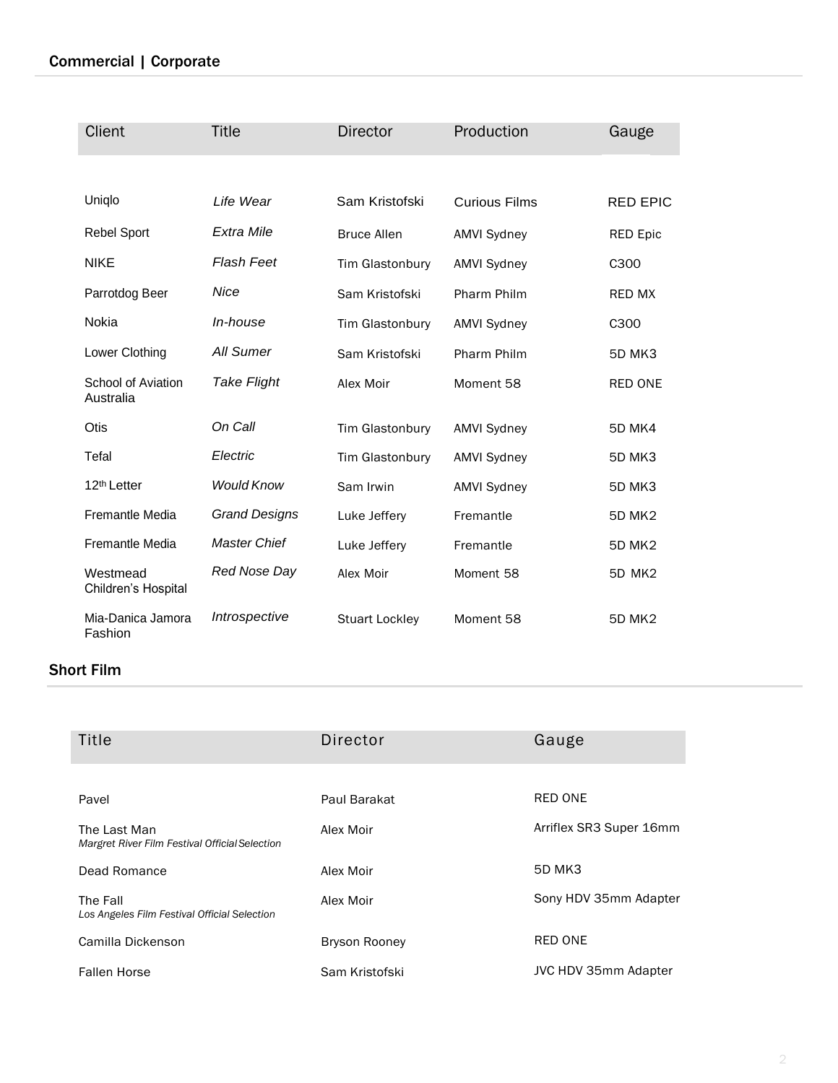## Commercial | Corporate

| Client                          | <b>Title</b>         | <b>Director</b>        | Production           | Gauge            |
|---------------------------------|----------------------|------------------------|----------------------|------------------|
|                                 |                      |                        |                      |                  |
| Uniqlo                          | Life Wear            | Sam Kristofski         | <b>Curious Films</b> | <b>RED EPIC</b>  |
| <b>Rebel Sport</b>              | Extra Mile           | <b>Bruce Allen</b>     | <b>AMVI Sydney</b>   | <b>RED Epic</b>  |
| <b>NIKE</b>                     | <b>Flash Feet</b>    | <b>Tim Glastonbury</b> | <b>AMVI Sydney</b>   | C <sub>300</sub> |
| Parrotdog Beer                  | Nice                 | Sam Kristofski         | Pharm Philm          | <b>RED MX</b>    |
| Nokia                           | In-house             | <b>Tim Glastonbury</b> | <b>AMVI Sydney</b>   | C <sub>300</sub> |
| Lower Clothing                  | All Sumer            | Sam Kristofski         | Pharm Philm          | <b>5D MK3</b>    |
| School of Aviation<br>Australia | <b>Take Flight</b>   | Alex Moir              | Moment 58            | <b>RED ONE</b>   |
| <b>Otis</b>                     | On Call              | Tim Glastonbury        | <b>AMVI Sydney</b>   | <b>5D MK4</b>    |
| Tefal                           | Electric             | Tim Glastonbury        | <b>AMVI Sydney</b>   | 5D MK3           |
| 12 <sup>th</sup> Letter         | <b>Would Know</b>    | Sam Irwin              | <b>AMVI Sydney</b>   | 5D MK3           |
| Fremantle Media                 | <b>Grand Designs</b> | Luke Jeffery           | Fremantle            | <b>5D MK2</b>    |
| <b>Fremantle Media</b>          | <b>Master Chief</b>  | Luke Jeffery           | Fremantle            | <b>5D MK2</b>    |
| Westmead<br>Children's Hospital | Red Nose Day         | Alex Moir              | Moment 58            | <b>5D MK2</b>    |
| Mia-Danica Jamora<br>Fashion    | Introspective        | <b>Stuart Lockley</b>  | Moment 58            | <b>5D MK2</b>    |

## Short Film

| Title                                                          | Director             | Gauge                       |
|----------------------------------------------------------------|----------------------|-----------------------------|
|                                                                |                      |                             |
| Pavel                                                          | Paul Barakat         | <b>RED ONE</b>              |
| The Last Man<br>Margret River Film Festival Official Selection | Alex Moir            | Arriflex SR3 Super 16mm     |
| Dead Romance                                                   | Alex Moir            | 5D MK3                      |
| The Fall<br>Los Angeles Film Festival Official Selection       | Alex Moir            | Sony HDV 35mm Adapter       |
| Camilla Dickenson                                              | <b>Bryson Rooney</b> | <b>RED ONE</b>              |
| <b>Fallen Horse</b>                                            | Sam Kristofski       | <b>JVC HDV 35mm Adapter</b> |